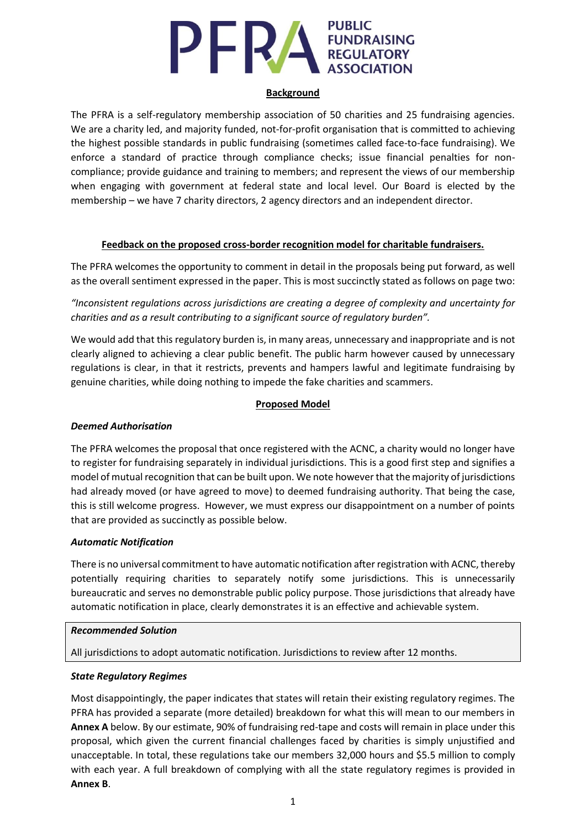# **PUBLIC PERATURE EUNDRAISING**

#### **Background**

The PFRA is a self-regulatory membership association of 50 charities and 25 fundraising agencies. We are a charity led, and majority funded, not-for-profit organisation that is committed to achieving the highest possible standards in public fundraising (sometimes called face-to-face fundraising). We enforce a standard of practice through compliance checks; issue financial penalties for noncompliance; provide guidance and training to members; and represent the views of our membership when engaging with government at federal state and local level. Our Board is elected by the membership – we have 7 charity directors, 2 agency directors and an independent director.

#### **Feedback on the proposed cross-border recognition model for charitable fundraisers.**

The PFRA welcomes the opportunity to comment in detail in the proposals being put forward, as well as the overall sentiment expressed in the paper. This is most succinctly stated as follows on page two:

*"Inconsistent regulations across jurisdictions are creating a degree of complexity and uncertainty for charities and as a result contributing to a significant source of regulatory burden".*

We would add that this regulatory burden is, in many areas, unnecessary and inappropriate and is not clearly aligned to achieving a clear public benefit. The public harm however caused by unnecessary regulations is clear, in that it restricts, prevents and hampers lawful and legitimate fundraising by genuine charities, while doing nothing to impede the fake charities and scammers.

#### **Proposed Model**

## *Deemed Authorisation*

The PFRA welcomes the proposal that once registered with the ACNC, a charity would no longer have to register for fundraising separately in individual jurisdictions. This is a good first step and signifies a model of mutual recognition that can be built upon. We note however that the majority of jurisdictions had already moved (or have agreed to move) to deemed fundraising authority. That being the case, this is still welcome progress. However, we must express our disappointment on a number of points that are provided as succinctly as possible below.

#### *Automatic Notification*

There is no universal commitment to have automatic notification after registration with ACNC, thereby potentially requiring charities to separately notify some jurisdictions. This is unnecessarily bureaucratic and serves no demonstrable public policy purpose. Those jurisdictions that already have automatic notification in place, clearly demonstrates it is an effective and achievable system.

#### *Recommended Solution*

All jurisdictions to adopt automatic notification. Jurisdictions to review after 12 months.

#### *State Regulatory Regimes*

Most disappointingly, the paper indicates that states will retain their existing regulatory regimes. The PFRA has provided a separate (more detailed) breakdown for what this will mean to our members in **Annex A** below. By our estimate, 90% of fundraising red-tape and costs will remain in place under this proposal, which given the current financial challenges faced by charities is simply unjustified and unacceptable. In total, these regulations take our members 32,000 hours and \$5.5 million to comply with each year. A full breakdown of complying with all the state regulatory regimes is provided in **Annex B**.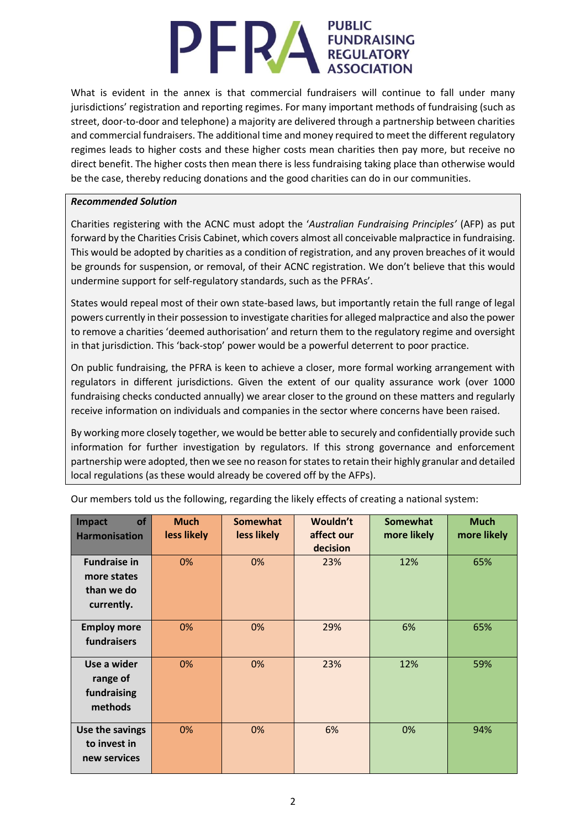# **PUBLIC** PERA **FUNDRAISING**<br>REGULATORY

What is evident in the annex is that commercial fundraisers will continue to fall under many jurisdictions' registration and reporting regimes. For many important methods of fundraising (such as street, door-to-door and telephone) a majority are delivered through a partnership between charities and commercial fundraisers. The additional time and money required to meet the different regulatory regimes leads to higher costs and these higher costs mean charities then pay more, but receive no direct benefit. The higher costs then mean there is less fundraising taking place than otherwise would be the case, thereby reducing donations and the good charities can do in our communities.

#### *Recommended Solution*

Charities registering with the ACNC must adopt the '*Australian Fundraising Principles'* (AFP) as put forward by the Charities Crisis Cabinet, which covers almost all conceivable malpractice in fundraising. This would be adopted by charities as a condition of registration, and any proven breaches of it would be grounds for suspension, or removal, of their ACNC registration. We don't believe that this would undermine support for self-regulatory standards, such as the PFRAs'.

States would repeal most of their own state-based laws, but importantly retain the full range of legal powers currently in their possession to investigate charities for alleged malpractice and also the power to remove a charities 'deemed authorisation' and return them to the regulatory regime and oversight in that jurisdiction. This 'back-stop' power would be a powerful deterrent to poor practice.

On public fundraising, the PFRA is keen to achieve a closer, more formal working arrangement with regulators in different jurisdictions. Given the extent of our quality assurance work (over 1000 fundraising checks conducted annually) we arear closer to the ground on these matters and regularly receive information on individuals and companies in the sector where concerns have been raised.

By working more closely together, we would be better able to securely and confidentially provide such information for further investigation by regulators. If this strong governance and enforcement partnership were adopted, then we see no reason for states to retain their highly granular and detailed local regulations (as these would already be covered off by the AFPs).

| of<br>Impact         | <b>Much</b><br>less likely | <b>Somewhat</b><br>less likely | Wouldn't<br>affect our | <b>Somewhat</b><br>more likely | <b>Much</b><br>more likely |
|----------------------|----------------------------|--------------------------------|------------------------|--------------------------------|----------------------------|
| <b>Harmonisation</b> |                            |                                | decision               |                                |                            |
| <b>Fundraise in</b>  | 0%                         | 0%                             | 23%                    | 12%                            | 65%                        |
| more states          |                            |                                |                        |                                |                            |
| than we do           |                            |                                |                        |                                |                            |
| currently.           |                            |                                |                        |                                |                            |
| <b>Employ more</b>   | 0%                         | 0%                             | 29%                    | 6%                             | 65%                        |
| fundraisers          |                            |                                |                        |                                |                            |
| Use a wider          | 0%                         | 0%                             | 23%                    | 12%                            | 59%                        |
| range of             |                            |                                |                        |                                |                            |
| fundraising          |                            |                                |                        |                                |                            |
| methods              |                            |                                |                        |                                |                            |
| Use the savings      | 0%                         | 0%                             | 6%                     | 0%                             | 94%                        |
| to invest in         |                            |                                |                        |                                |                            |
| new services         |                            |                                |                        |                                |                            |

Our members told us the following, regarding the likely effects of creating a national system: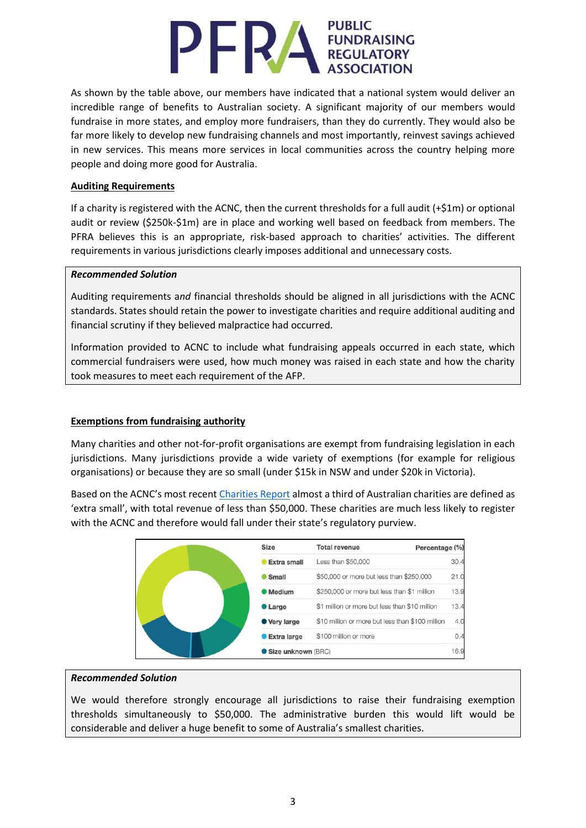# **PUBLIC PERA FUNDRAISING**

As shown by the table above, our members have indicated that a national system would deliver an incredible range of benefits to Australian society. A significant majority of our members would fundraise in more states, and employ more fundraisers, than they do currently. They would also be far more likely to develop new fundraising channels and most importantly, reinvest savings achieved in new services. This means more services in local communities across the country helping more people and doing more good for Australia.

## **Auditing Requirements**

If a charity is registered with the ACNC, then the current thresholds for a full audit (+\$1m) or optional audit or review (\$250k-\$1m) are in place and working well based on feedback from members. The PFRA believes this is an appropriate, risk-based approach to charities' activities. The different requirements in various jurisdictions clearly imposes additional and unnecessary costs.

## *Recommended Solution*

Auditing requirements a*nd* financial thresholds should be aligned in all jurisdictions with the ACNC standards. States should retain the power to investigate charities and require additional auditing and financial scrutiny if they believed malpractice had occurred.

Information provided to ACNC to include what fundraising appeals occurred in each state, which commercial fundraisers were used, how much money was raised in each state and how the charity took measures to meet each requirement of the AFP.

# **Exemptions from fundraising authority**

Many charities and other not-for-profit organisations are exempt from fundraising legislation in each jurisdictions. Many jurisdictions provide a wide variety of exemptions (for example for religious organisations) or because they are so small (under \$15k in NSW and under \$20k in Victoria).

Based on the ACNC's most recent [Charities Report](https://www.acnc.gov.au/tools/reports/australian-charities-report-2018) almost a third of Australian charities are defined as 'extra small', with total revenue of less than \$50,000. These charities are much less likely to register with the ACNC and therefore would fall under their state's regulatory purview.

| <b>Size</b>        | <b>Total revenue</b><br>Percentage (%)           |      |
|--------------------|--------------------------------------------------|------|
| Extra small        | Less than \$50,000                               | 30.4 |
| ● Small            | \$50,000 or more but less than \$250,000         | 21.0 |
| <b>Medium</b>      | \$250,000 or more but less than \$1 million      | 13.9 |
| <b>C</b> Large     | \$1 million or more but less than \$10 million   | 13.4 |
| ● Very large       | \$10 million or more but less than \$100 million | 4.0  |
| <b>Extra large</b> | \$100 million or more                            | 0.4  |
| Size unknown (BRC) |                                                  | 16.9 |

## *Recommended Solution*

We would therefore strongly encourage all jurisdictions to raise their fundraising exemption thresholds simultaneously to \$50,000. The administrative burden this would lift would be considerable and deliver a huge benefit to some of Australia's smallest charities.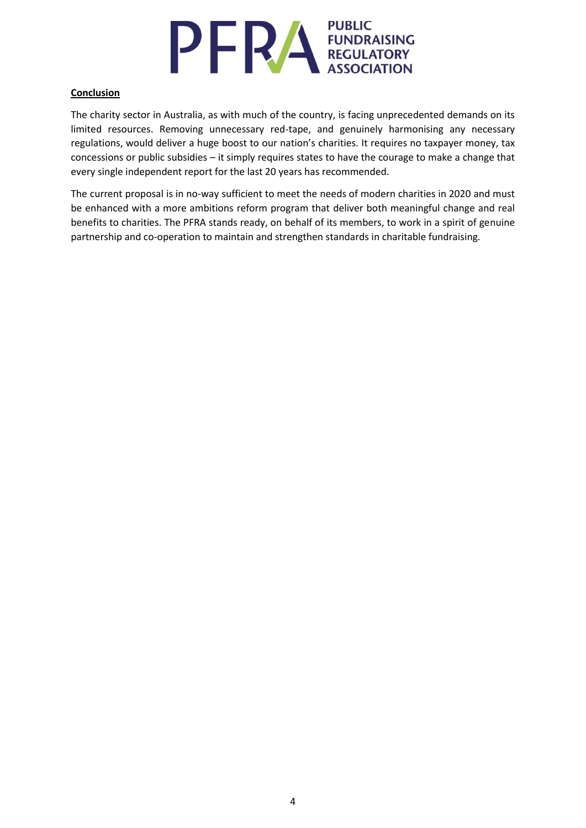

## **Conclusion**

The charity sector in Australia, as with much of the country, is facing unprecedented demands on its limited resources. Removing unnecessary red-tape, and genuinely harmonising any necessary regulations, would deliver a huge boost to our nation's charities. It requires no taxpayer money, tax concessions or public subsidies – it simply requires states to have the courage to make a change that every single independent report for the last 20 years has recommended.

The current proposal is in no-way sufficient to meet the needs of modern charities in 2020 and must be enhanced with a more ambitions reform program that deliver both meaningful change and real benefits to charities. The PFRA stands ready, on behalf of its members, to work in a spirit of genuine partnership and co-operation to maintain and strengthen standards in charitable fundraising.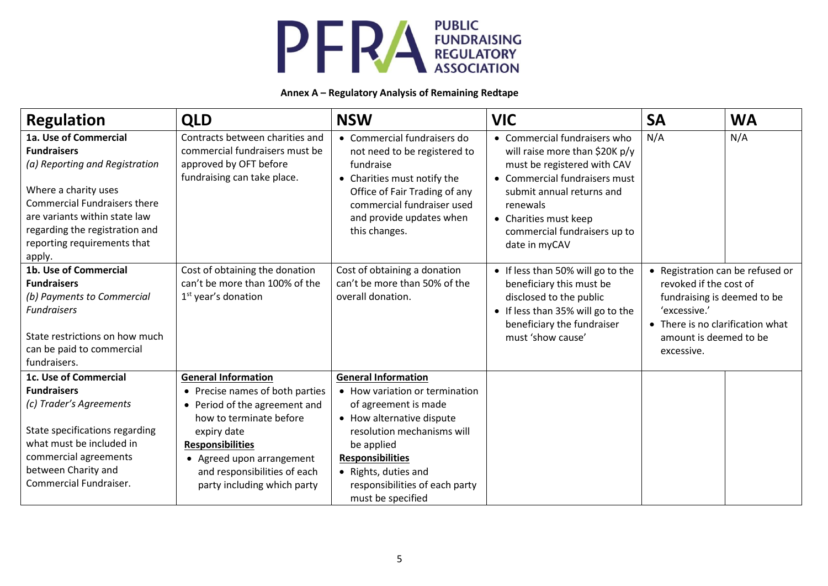

#### **Annex A – Regulatory Analysis of Remaining Redtape**

| <b>Regulation</b>                                                                                                                                                                                                                                        | <b>QLD</b>                                                                                                                                                                                                                        | <b>NSW</b>                                                                                                                                                                                                                                | <b>VIC</b>                                                                                                                                                                                                                                        | <b>SA</b>                                                                                                                                                                             | <b>WA</b> |
|----------------------------------------------------------------------------------------------------------------------------------------------------------------------------------------------------------------------------------------------------------|-----------------------------------------------------------------------------------------------------------------------------------------------------------------------------------------------------------------------------------|-------------------------------------------------------------------------------------------------------------------------------------------------------------------------------------------------------------------------------------------|---------------------------------------------------------------------------------------------------------------------------------------------------------------------------------------------------------------------------------------------------|---------------------------------------------------------------------------------------------------------------------------------------------------------------------------------------|-----------|
| 1a. Use of Commercial<br><b>Fundraisers</b><br>(a) Reporting and Registration<br>Where a charity uses<br><b>Commercial Fundraisers there</b><br>are variants within state law<br>regarding the registration and<br>reporting requirements that<br>apply. | Contracts between charities and<br>commercial fundraisers must be<br>approved by OFT before<br>fundraising can take place.                                                                                                        | • Commercial fundraisers do<br>not need to be registered to<br>fundraise<br>• Charities must notify the<br>Office of Fair Trading of any<br>commercial fundraiser used<br>and provide updates when<br>this changes.                       | • Commercial fundraisers who<br>will raise more than \$20K p/y<br>must be registered with CAV<br>• Commercial fundraisers must<br>submit annual returns and<br>renewals<br>• Charities must keep<br>commercial fundraisers up to<br>date in myCAV | N/A                                                                                                                                                                                   | N/A       |
| 1b. Use of Commercial<br><b>Fundraisers</b><br>(b) Payments to Commercial<br><b>Fundraisers</b><br>State restrictions on how much<br>can be paid to commercial<br>fundraisers.                                                                           | Cost of obtaining the donation<br>can't be more than 100% of the<br>$1st$ year's donation                                                                                                                                         | Cost of obtaining a donation<br>can't be more than 50% of the<br>overall donation.                                                                                                                                                        | • If less than 50% will go to the<br>beneficiary this must be<br>disclosed to the public<br>• If less than 35% will go to the<br>beneficiary the fundraiser<br>must 'show cause'                                                                  | • Registration can be refused or<br>revoked if the cost of<br>fundraising is deemed to be<br>'excessive.'<br>• There is no clarification what<br>amount is deemed to be<br>excessive. |           |
| 1c. Use of Commercial                                                                                                                                                                                                                                    | <b>General Information</b>                                                                                                                                                                                                        | <b>General Information</b>                                                                                                                                                                                                                |                                                                                                                                                                                                                                                   |                                                                                                                                                                                       |           |
| <b>Fundraisers</b><br>(c) Trader's Agreements<br>State specifications regarding<br>what must be included in<br>commercial agreements<br>between Charity and<br>Commercial Fundraiser.                                                                    | • Precise names of both parties<br>• Period of the agreement and<br>how to terminate before<br>expiry date<br><b>Responsibilities</b><br>• Agreed upon arrangement<br>and responsibilities of each<br>party including which party | • How variation or termination<br>of agreement is made<br>• How alternative dispute<br>resolution mechanisms will<br>be applied<br><b>Responsibilities</b><br>• Rights, duties and<br>responsibilities of each party<br>must be specified |                                                                                                                                                                                                                                                   |                                                                                                                                                                                       |           |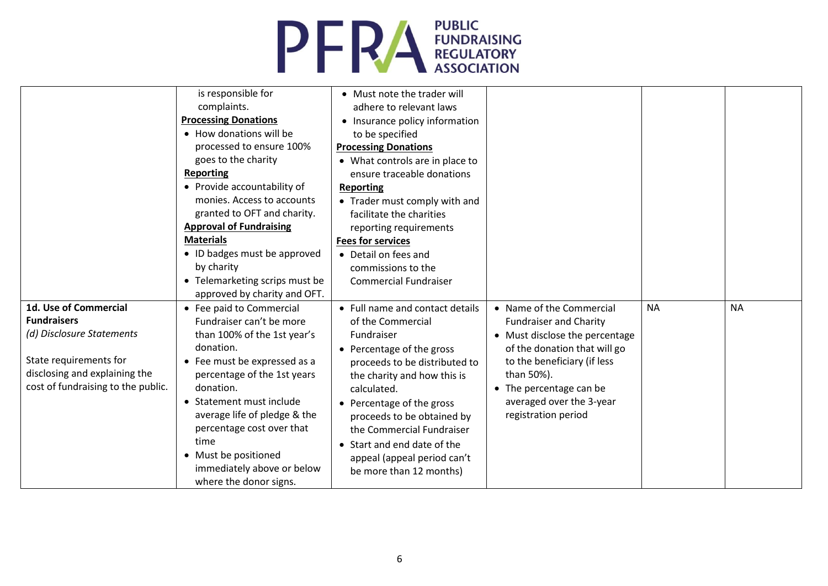

|                                    | is responsible for             | • Must note the trader will     |                                |           |           |
|------------------------------------|--------------------------------|---------------------------------|--------------------------------|-----------|-----------|
|                                    | complaints.                    | adhere to relevant laws         |                                |           |           |
|                                    | <b>Processing Donations</b>    | • Insurance policy information  |                                |           |           |
|                                    | • How donations will be        | to be specified                 |                                |           |           |
|                                    | processed to ensure 100%       | <b>Processing Donations</b>     |                                |           |           |
|                                    | goes to the charity            | • What controls are in place to |                                |           |           |
|                                    | <b>Reporting</b>               | ensure traceable donations      |                                |           |           |
|                                    | • Provide accountability of    | <b>Reporting</b>                |                                |           |           |
|                                    | monies. Access to accounts     | • Trader must comply with and   |                                |           |           |
|                                    | granted to OFT and charity.    | facilitate the charities        |                                |           |           |
|                                    | <b>Approval of Fundraising</b> | reporting requirements          |                                |           |           |
|                                    | <b>Materials</b>               | <b>Fees for services</b>        |                                |           |           |
|                                    | • ID badges must be approved   | • Detail on fees and            |                                |           |           |
|                                    | by charity                     | commissions to the              |                                |           |           |
|                                    | • Telemarketing scrips must be | <b>Commercial Fundraiser</b>    |                                |           |           |
|                                    | approved by charity and OFT.   |                                 |                                |           |           |
| 1d. Use of Commercial              | • Fee paid to Commercial       | • Full name and contact details | • Name of the Commercial       | <b>NA</b> | <b>NA</b> |
| <b>Fundraisers</b>                 | Fundraiser can't be more       | of the Commercial               | <b>Fundraiser and Charity</b>  |           |           |
| (d) Disclosure Statements          | than 100% of the 1st year's    | Fundraiser                      | • Must disclose the percentage |           |           |
|                                    | donation.                      | • Percentage of the gross       | of the donation that will go   |           |           |
| State requirements for             | • Fee must be expressed as a   | proceeds to be distributed to   | to the beneficiary (if less    |           |           |
| disclosing and explaining the      | percentage of the 1st years    | the charity and how this is     | than 50%).                     |           |           |
| cost of fundraising to the public. | donation.                      | calculated.                     | • The percentage can be        |           |           |
|                                    | • Statement must include       | • Percentage of the gross       | averaged over the 3-year       |           |           |
|                                    | average life of pledge & the   | proceeds to be obtained by      | registration period            |           |           |
|                                    | percentage cost over that      | the Commercial Fundraiser       |                                |           |           |
|                                    | time                           | • Start and end date of the     |                                |           |           |
|                                    | • Must be positioned           | appeal (appeal period can't     |                                |           |           |
|                                    | immediately above or below     | be more than 12 months)         |                                |           |           |
|                                    | where the donor signs.         |                                 |                                |           |           |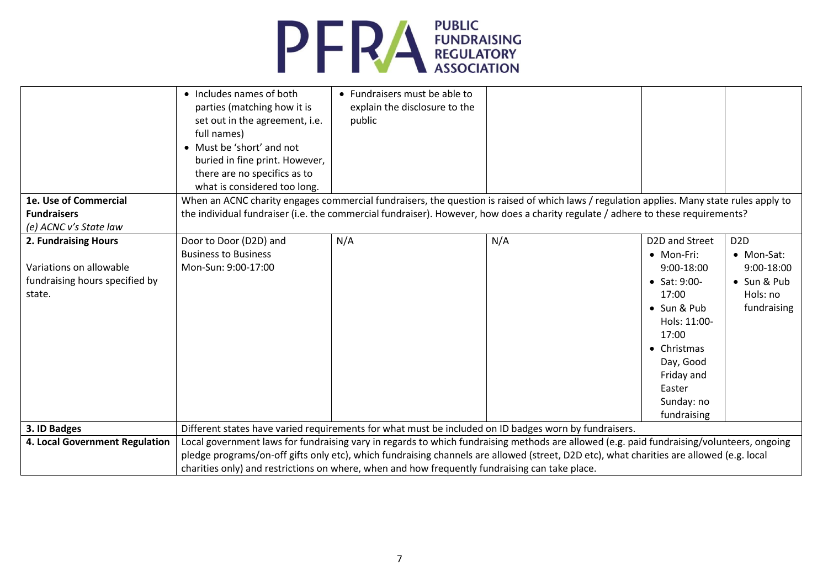

| 1e. Use of Commercial<br><b>Fundraisers</b><br>(e) ACNC v's State law                       | • Includes names of both<br>parties (matching how it is<br>set out in the agreement, i.e.<br>full names)<br>• Must be 'short' and not<br>buried in fine print. However,<br>there are no specifics as to<br>what is considered too long. | • Fundraisers must be able to<br>explain the disclosure to the<br>public                              | When an ACNC charity engages commercial fundraisers, the question is raised of which laws / regulation applies. Many state rules apply to<br>the individual fundraiser (i.e. the commercial fundraiser). However, how does a charity regulate / adhere to these requirements?         |                                                                                                                                                                                                |                                                                                        |
|---------------------------------------------------------------------------------------------|-----------------------------------------------------------------------------------------------------------------------------------------------------------------------------------------------------------------------------------------|-------------------------------------------------------------------------------------------------------|---------------------------------------------------------------------------------------------------------------------------------------------------------------------------------------------------------------------------------------------------------------------------------------|------------------------------------------------------------------------------------------------------------------------------------------------------------------------------------------------|----------------------------------------------------------------------------------------|
| 2. Fundraising Hours<br>Variations on allowable<br>fundraising hours specified by<br>state. | Door to Door (D2D) and<br><b>Business to Business</b><br>Mon-Sun: 9:00-17:00                                                                                                                                                            | N/A                                                                                                   | N/A                                                                                                                                                                                                                                                                                   | D2D and Street<br>• Mon-Fri:<br>9:00-18:00<br>• Sat: $9:00-$<br>17:00<br>• Sun & Pub<br>Hols: 11:00-<br>17:00<br>• Christmas<br>Day, Good<br>Friday and<br>Easter<br>Sunday: no<br>fundraising | D <sub>2</sub> D<br>• Mon-Sat:<br>9:00-18:00<br>• Sun & Pub<br>Hols: no<br>fundraising |
| 3. ID Badges                                                                                |                                                                                                                                                                                                                                         | Different states have varied requirements for what must be included on ID badges worn by fundraisers. |                                                                                                                                                                                                                                                                                       |                                                                                                                                                                                                |                                                                                        |
| 4. Local Government Regulation                                                              |                                                                                                                                                                                                                                         | charities only) and restrictions on where, when and how frequently fundraising can take place.        | Local government laws for fundraising vary in regards to which fundraising methods are allowed (e.g. paid fundraising/volunteers, ongoing<br>pledge programs/on-off gifts only etc), which fundraising channels are allowed (street, D2D etc), what charities are allowed (e.g. local |                                                                                                                                                                                                |                                                                                        |